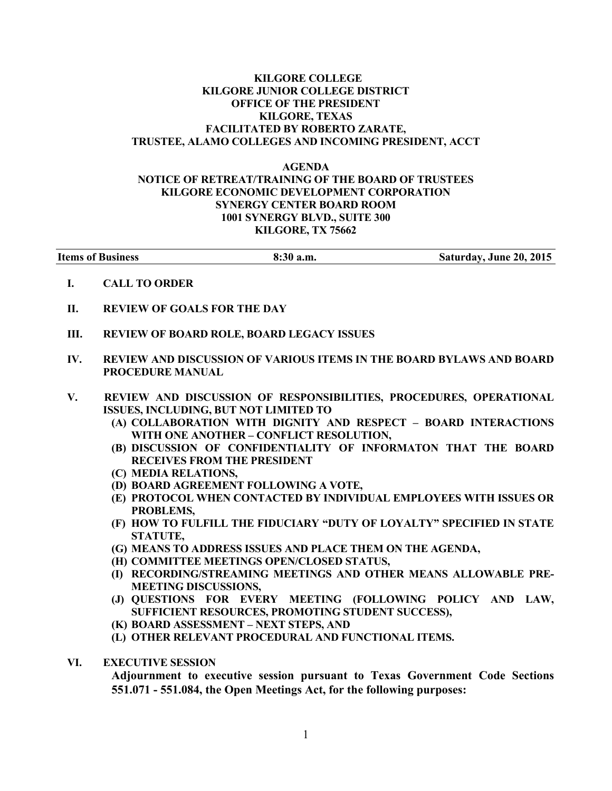## KILGORE COLLEGE KILGORE JUNIOR COLLEGE DISTRICT OFFICE OF THE PRESIDENT KILGORE, TEXAS FACILITATED BY ROBERTO ZARATE, TRUSTEE, ALAMO COLLEGES AND INCOMING PRESIDENT, ACCT

## AGENDA NOTICE OF RETREAT/TRAINING OF THE BOARD OF TRUSTEES KILGORE ECONOMIC DEVELOPMENT CORPORATION SYNERGY CENTER BOARD ROOM 1001 SYNERGY BLVD., SUITE 300 KILGORE, TX 75662

| <b>Items of Business</b> | 8:30 a.m. | Saturday, June 20, 2015 |
|--------------------------|-----------|-------------------------|
|                          |           |                         |

- I. CALL TO ORDER
- II. REVIEW OF GOALS FOR THE DAY
- III. REVIEW OF BOARD ROLE, BOARD LEGACY ISSUES
- IV. REVIEW AND DISCUSSION OF VARIOUS ITEMS IN THE BOARD BYLAWS AND BOARD PROCEDURE MANUAL
- V. REVIEW AND DISCUSSION OF RESPONSIBILITIES, PROCEDURES, OPERATIONAL ISSUES, INCLUDING, BUT NOT LIMITED TO
	- (A) COLLABORATION WITH DIGNITY AND RESPECT BOARD INTERACTIONS WITH ONE ANOTHER – CONFLICT RESOLUTION,
	- (B) DISCUSSION OF CONFIDENTIALITY OF INFORMATON THAT THE BOARD RECEIVES FROM THE PRESIDENT
	- (C) MEDIA RELATIONS,
	- (D) BOARD AGREEMENT FOLLOWING A VOTE,
	- (E) PROTOCOL WHEN CONTACTED BY INDIVIDUAL EMPLOYEES WITH ISSUES OR PROBLEMS,
	- (F) HOW TO FULFILL THE FIDUCIARY "DUTY OF LOYALTY" SPECIFIED IN STATE STATUTE,
	- (G) MEANS TO ADDRESS ISSUES AND PLACE THEM ON THE AGENDA,
	- (H) COMMITTEE MEETINGS OPEN/CLOSED STATUS,
	- (I) RECORDING/STREAMING MEETINGS AND OTHER MEANS ALLOWABLE PRE-MEETING DISCUSSIONS,
	- (J) QUESTIONS FOR EVERY MEETING (FOLLOWING POLICY AND LAW, SUFFICIENT RESOURCES, PROMOTING STUDENT SUCCESS),
	- (K) BOARD ASSESSMENT NEXT STEPS, AND
	- (L) OTHER RELEVANT PROCEDURAL AND FUNCTIONAL ITEMS.
- VI. EXECUTIVE SESSION

Adjournment to executive session pursuant to Texas Government Code Sections 551.071 - 551.084, the Open Meetings Act, for the following purposes: